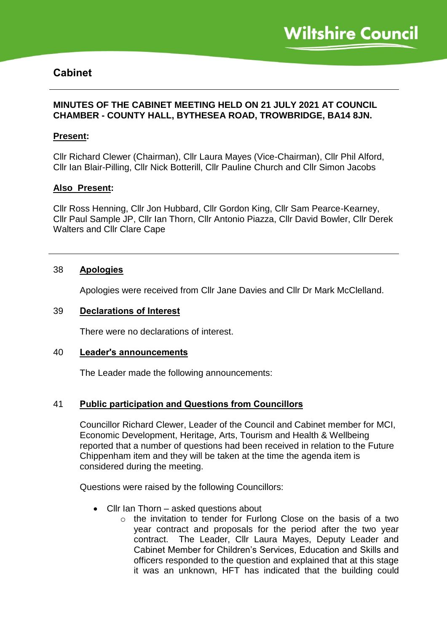# **Cabinet**

## **MINUTES OF THE CABINET MEETING HELD ON 21 JULY 2021 AT COUNCIL CHAMBER - COUNTY HALL, BYTHESEA ROAD, TROWBRIDGE, BA14 8JN.**

## **Present:**

Cllr Richard Clewer (Chairman), Cllr Laura Mayes (Vice-Chairman), Cllr Phil Alford, Cllr Ian Blair-Pilling, Cllr Nick Botterill, Cllr Pauline Church and Cllr Simon Jacobs

#### **Also Present:**

Cllr Ross Henning, Cllr Jon Hubbard, Cllr Gordon King, Cllr Sam Pearce-Kearney, Cllr Paul Sample JP, Cllr Ian Thorn, Cllr Antonio Piazza, Cllr David Bowler, Cllr Derek Walters and Cllr Clare Cape

#### 38 **Apologies**

Apologies were received from Cllr Jane Davies and Cllr Dr Mark McClelland.

#### 39 **Declarations of Interest**

There were no declarations of interest.

#### 40 **Leader's announcements**

The Leader made the following announcements:

# 41 **Public participation and Questions from Councillors**

Councillor Richard Clewer, Leader of the Council and Cabinet member for MCI, Economic Development, Heritage, Arts, Tourism and Health & Wellbeing reported that a number of questions had been received in relation to the Future Chippenham item and they will be taken at the time the agenda item is considered during the meeting.

Questions were raised by the following Councillors:

- Cllr Ian Thorn asked questions about
	- o the invitation to tender for Furlong Close on the basis of a two year contract and proposals for the period after the two year contract. The Leader, Cllr Laura Mayes, Deputy Leader and Cabinet Member for Children's Services, Education and Skills and officers responded to the question and explained that at this stage it was an unknown, HFT has indicated that the building could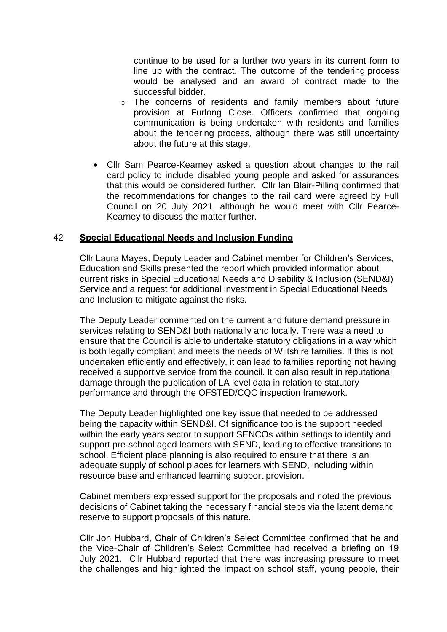continue to be used for a further two years in its current form to line up with the contract. The outcome of the tendering process would be analysed and an award of contract made to the successful bidder.

- o The concerns of residents and family members about future provision at Furlong Close. Officers confirmed that ongoing communication is being undertaken with residents and families about the tendering process, although there was still uncertainty about the future at this stage.
- Cllr Sam Pearce-Kearney asked a question about changes to the rail card policy to include disabled young people and asked for assurances that this would be considered further. Cllr Ian Blair-Pilling confirmed that the recommendations for changes to the rail card were agreed by Full Council on 20 July 2021, although he would meet with Cllr Pearce-Kearney to discuss the matter further.

#### 42 **Special Educational Needs and Inclusion Funding**

Cllr Laura Mayes, Deputy Leader and Cabinet member for Children's Services, Education and Skills presented the report which provided information about current risks in Special Educational Needs and Disability & Inclusion (SEND&I) Service and a request for additional investment in Special Educational Needs and Inclusion to mitigate against the risks.

The Deputy Leader commented on the current and future demand pressure in services relating to SEND&I both nationally and locally. There was a need to ensure that the Council is able to undertake statutory obligations in a way which is both legally compliant and meets the needs of Wiltshire families. If this is not undertaken efficiently and effectively, it can lead to families reporting not having received a supportive service from the council. It can also result in reputational damage through the publication of LA level data in relation to statutory performance and through the OFSTED/CQC inspection framework.

The Deputy Leader highlighted one key issue that needed to be addressed being the capacity within SEND&I. Of significance too is the support needed within the early years sector to support SENCOs within settings to identify and support pre-school aged learners with SEND, leading to effective transitions to school. Efficient place planning is also required to ensure that there is an adequate supply of school places for learners with SEND, including within resource base and enhanced learning support provision.

Cabinet members expressed support for the proposals and noted the previous decisions of Cabinet taking the necessary financial steps via the latent demand reserve to support proposals of this nature.

Cllr Jon Hubbard, Chair of Children's Select Committee confirmed that he and the Vice-Chair of Children's Select Committee had received a briefing on 19 July 2021. Cllr Hubbard reported that there was increasing pressure to meet the challenges and highlighted the impact on school staff, young people, their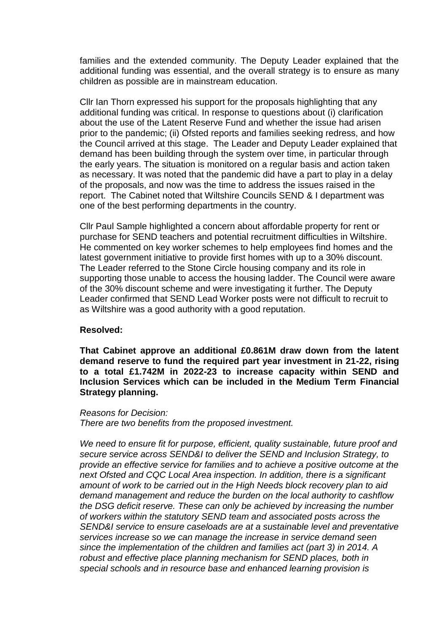families and the extended community. The Deputy Leader explained that the additional funding was essential, and the overall strategy is to ensure as many children as possible are in mainstream education.

Cllr Ian Thorn expressed his support for the proposals highlighting that any additional funding was critical. In response to questions about (i) clarification about the use of the Latent Reserve Fund and whether the issue had arisen prior to the pandemic; (ii) Ofsted reports and families seeking redress, and how the Council arrived at this stage. The Leader and Deputy Leader explained that demand has been building through the system over time, in particular through the early years. The situation is monitored on a regular basis and action taken as necessary. It was noted that the pandemic did have a part to play in a delay of the proposals, and now was the time to address the issues raised in the report. The Cabinet noted that Wiltshire Councils SEND & I department was one of the best performing departments in the country.

Cllr Paul Sample highlighted a concern about affordable property for rent or purchase for SEND teachers and potential recruitment difficulties in Wiltshire. He commented on key worker schemes to help employees find homes and the latest government initiative to provide first homes with up to a 30% discount. The Leader referred to the Stone Circle housing company and its role in supporting those unable to access the housing ladder. The Council were aware of the 30% discount scheme and were investigating it further. The Deputy Leader confirmed that SEND Lead Worker posts were not difficult to recruit to as Wiltshire was a good authority with a good reputation.

#### **Resolved:**

**That Cabinet approve an additional £0.861M draw down from the latent demand reserve to fund the required part year investment in 21-22, rising to a total £1.742M in 2022-23 to increase capacity within SEND and Inclusion Services which can be included in the Medium Term Financial Strategy planning.**

#### *Reasons for Decision:*

*There are two benefits from the proposed investment.*

*We need to ensure fit for purpose, efficient, quality sustainable, future proof and secure service across SEND&I to deliver the SEND and Inclusion Strategy, to provide an effective service for families and to achieve a positive outcome at the next Ofsted and CQC Local Area inspection. In addition, there is a significant amount of work to be carried out in the High Needs block recovery plan to aid demand management and reduce the burden on the local authority to cashflow the DSG deficit reserve. These can only be achieved by increasing the number of workers within the statutory SEND team and associated posts across the SEND&I service to ensure caseloads are at a sustainable level and preventative services increase so we can manage the increase in service demand seen since the implementation of the children and families act (part 3) in 2014. A robust and effective place planning mechanism for SEND places, both in special schools and in resource base and enhanced learning provision is*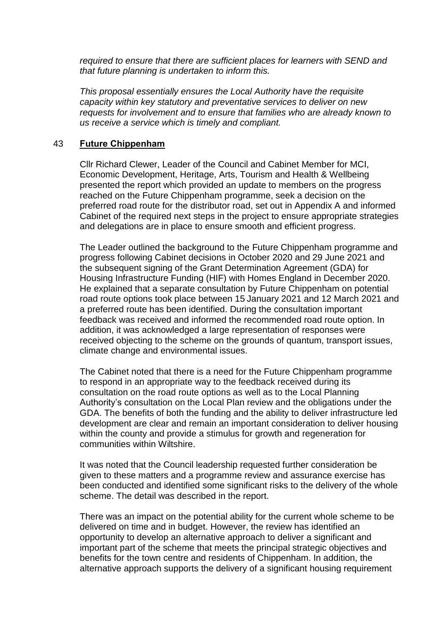*required to ensure that there are sufficient places for learners with SEND and that future planning is undertaken to inform this.*

*This proposal essentially ensures the Local Authority have the requisite capacity within key statutory and preventative services to deliver on new requests for involvement and to ensure that families who are already known to us receive a service which is timely and compliant.*

#### 43 **Future Chippenham**

Cllr Richard Clewer, Leader of the Council and Cabinet Member for MCI, Economic Development, Heritage, Arts, Tourism and Health & Wellbeing presented the report which provided an update to members on the progress reached on the Future Chippenham programme, seek a decision on the preferred road route for the distributor road, set out in Appendix A and informed Cabinet of the required next steps in the project to ensure appropriate strategies and delegations are in place to ensure smooth and efficient progress.

The Leader outlined the background to the Future Chippenham programme and progress following Cabinet decisions in October 2020 and 29 June 2021 and the subsequent signing of the Grant Determination Agreement (GDA) for Housing Infrastructure Funding (HIF) with Homes England in December 2020. He explained that a separate consultation by Future Chippenham on potential road route options took place between 15 January 2021 and 12 March 2021 and a preferred route has been identified. During the consultation important feedback was received and informed the recommended road route option. In addition, it was acknowledged a large representation of responses were received objecting to the scheme on the grounds of quantum, transport issues, climate change and environmental issues.

The Cabinet noted that there is a need for the Future Chippenham programme to respond in an appropriate way to the feedback received during its consultation on the road route options as well as to the Local Planning Authority's consultation on the Local Plan review and the obligations under the GDA. The benefits of both the funding and the ability to deliver infrastructure led development are clear and remain an important consideration to deliver housing within the county and provide a stimulus for growth and regeneration for communities within Wiltshire.

It was noted that the Council leadership requested further consideration be given to these matters and a programme review and assurance exercise has been conducted and identified some significant risks to the delivery of the whole scheme. The detail was described in the report.

There was an impact on the potential ability for the current whole scheme to be delivered on time and in budget. However, the review has identified an opportunity to develop an alternative approach to deliver a significant and important part of the scheme that meets the principal strategic objectives and benefits for the town centre and residents of Chippenham. In addition, the alternative approach supports the delivery of a significant housing requirement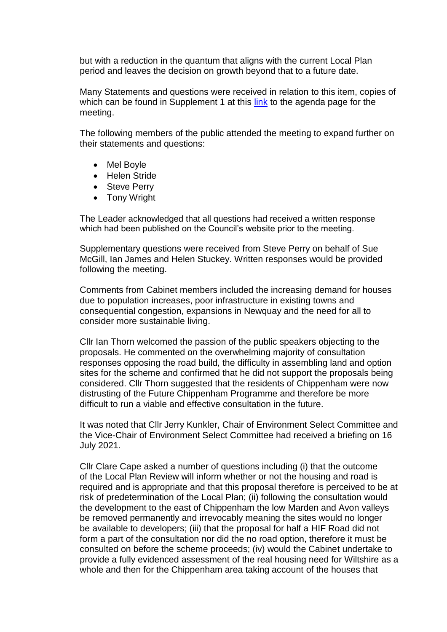but with a reduction in the quantum that aligns with the current Local Plan period and leaves the decision on growth beyond that to a future date.

Many Statements and questions were received in relation to this item, copies of which can be found in Supplement 1 at this [link](https://cms.wiltshire.gov.uk/ieListDocuments.aspx?CId=141&MId=14111&Ver=4) to the agenda page for the meeting.

The following members of the public attended the meeting to expand further on their statements and questions:

- Mel Boyle
- Helen Stride
- Steve Perry
- Tony Wright

The Leader acknowledged that all questions had received a written response which had been published on the Council's website prior to the meeting.

Supplementary questions were received from Steve Perry on behalf of Sue McGill, Ian James and Helen Stuckey. Written responses would be provided following the meeting.

Comments from Cabinet members included the increasing demand for houses due to population increases, poor infrastructure in existing towns and consequential congestion, expansions in Newquay and the need for all to consider more sustainable living.

Cllr Ian Thorn welcomed the passion of the public speakers objecting to the proposals. He commented on the overwhelming majority of consultation responses opposing the road build, the difficulty in assembling land and option sites for the scheme and confirmed that he did not support the proposals being considered. Cllr Thorn suggested that the residents of Chippenham were now distrusting of the Future Chippenham Programme and therefore be more difficult to run a viable and effective consultation in the future.

It was noted that Cllr Jerry Kunkler, Chair of Environment Select Committee and the Vice-Chair of Environment Select Committee had received a briefing on 16 July 2021.

Cllr Clare Cape asked a number of questions including (i) that the outcome of the Local Plan Review will inform whether or not the housing and road is required and is appropriate and that this proposal therefore is perceived to be at risk of predetermination of the Local Plan; (ii) following the consultation would the development to the east of Chippenham the low Marden and Avon valleys be removed permanently and irrevocably meaning the sites would no longer be available to developers; (iii) that the proposal for half a HIF Road did not form a part of the consultation nor did the no road option, therefore it must be consulted on before the scheme proceeds; (iv) would the Cabinet undertake to provide a fully evidenced assessment of the real housing need for Wiltshire as a whole and then for the Chippenham area taking account of the houses that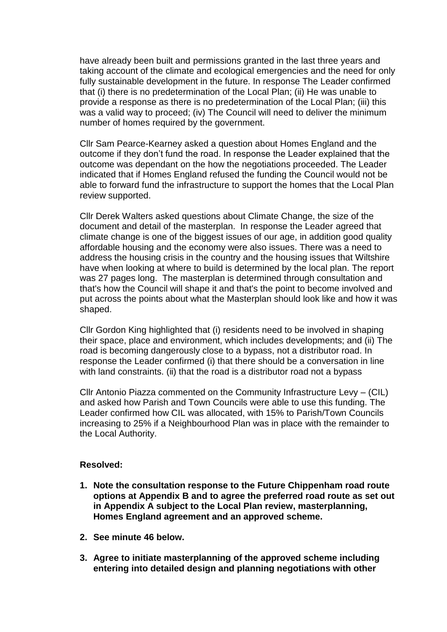have already been built and permissions granted in the last three years and taking account of the climate and ecological emergencies and the need for only fully sustainable development in the future. In response The Leader confirmed that (i) there is no predetermination of the Local Plan; (ii) He was unable to provide a response as there is no predetermination of the Local Plan; (iii) this was a valid way to proceed; (iv) The Council will need to deliver the minimum number of homes required by the government.

Cllr Sam Pearce-Kearney asked a question about Homes England and the outcome if they don't fund the road. In response the Leader explained that the outcome was dependant on the how the negotiations proceeded. The Leader indicated that if Homes England refused the funding the Council would not be able to forward fund the infrastructure to support the homes that the Local Plan review supported.

Cllr Derek Walters asked questions about Climate Change, the size of the document and detail of the masterplan. In response the Leader agreed that climate change is one of the biggest issues of our age, in addition good quality affordable housing and the economy were also issues. There was a need to address the housing crisis in the country and the housing issues that Wiltshire have when looking at where to build is determined by the local plan. The report was 27 pages long. The masterplan is determined through consultation and that's how the Council will shape it and that's the point to become involved and put across the points about what the Masterplan should look like and how it was shaped.

Cllr Gordon King highlighted that (i) residents need to be involved in shaping their space, place and environment, which includes developments; and (ii) The road is becoming dangerously close to a bypass, not a distributor road. In response the Leader confirmed (i) that there should be a conversation in line with land constraints. (ii) that the road is a distributor road not a bypass

Cllr Antonio Piazza commented on the Community Infrastructure Levy – (CIL) and asked how Parish and Town Councils were able to use this funding. The Leader confirmed how CIL was allocated, with 15% to Parish/Town Councils increasing to 25% if a Neighbourhood Plan was in place with the remainder to the Local Authority.

# **Resolved:**

- **1. Note the consultation response to the Future Chippenham road route options at Appendix B and to agree the preferred road route as set out in Appendix A subject to the Local Plan review, masterplanning, Homes England agreement and an approved scheme.**
- **2. See minute 46 below.**
- **3. Agree to initiate masterplanning of the approved scheme including entering into detailed design and planning negotiations with other**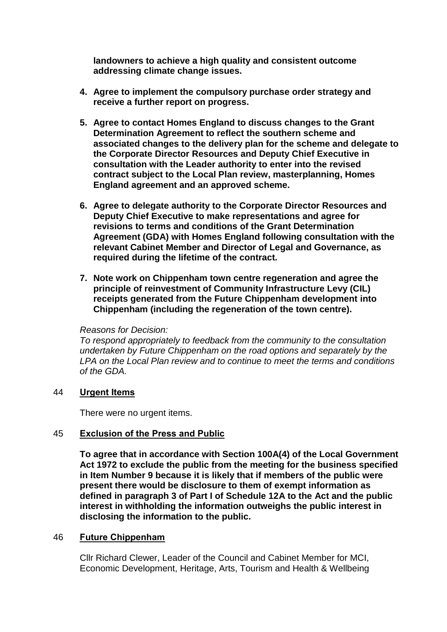**landowners to achieve a high quality and consistent outcome addressing climate change issues.**

- **4. Agree to implement the compulsory purchase order strategy and receive a further report on progress.**
- **5. Agree to contact Homes England to discuss changes to the Grant Determination Agreement to reflect the southern scheme and associated changes to the delivery plan for the scheme and delegate to the Corporate Director Resources and Deputy Chief Executive in consultation with the Leader authority to enter into the revised contract subject to the Local Plan review, masterplanning, Homes England agreement and an approved scheme.**
- **6. Agree to delegate authority to the Corporate Director Resources and Deputy Chief Executive to make representations and agree for revisions to terms and conditions of the Grant Determination Agreement (GDA) with Homes England following consultation with the relevant Cabinet Member and Director of Legal and Governance, as required during the lifetime of the contract.**
- **7. Note work on Chippenham town centre regeneration and agree the principle of reinvestment of Community Infrastructure Levy (CIL) receipts generated from the Future Chippenham development into Chippenham (including the regeneration of the town centre).**

#### *Reasons for Decision:*

*To respond appropriately to feedback from the community to the consultation undertaken by Future Chippenham on the road options and separately by the LPA on the Local Plan review and to continue to meet the terms and conditions of the GDA.*

#### 44 **Urgent Items**

There were no urgent items.

# 45 **Exclusion of the Press and Public**

**To agree that in accordance with Section 100A(4) of the Local Government Act 1972 to exclude the public from the meeting for the business specified in Item Number 9 because it is likely that if members of the public were present there would be disclosure to them of exempt information as defined in paragraph 3 of Part I of Schedule 12A to the Act and the public interest in withholding the information outweighs the public interest in disclosing the information to the public.**

#### 46 **Future Chippenham**

Cllr Richard Clewer, Leader of the Council and Cabinet Member for MCI, Economic Development, Heritage, Arts, Tourism and Health & Wellbeing